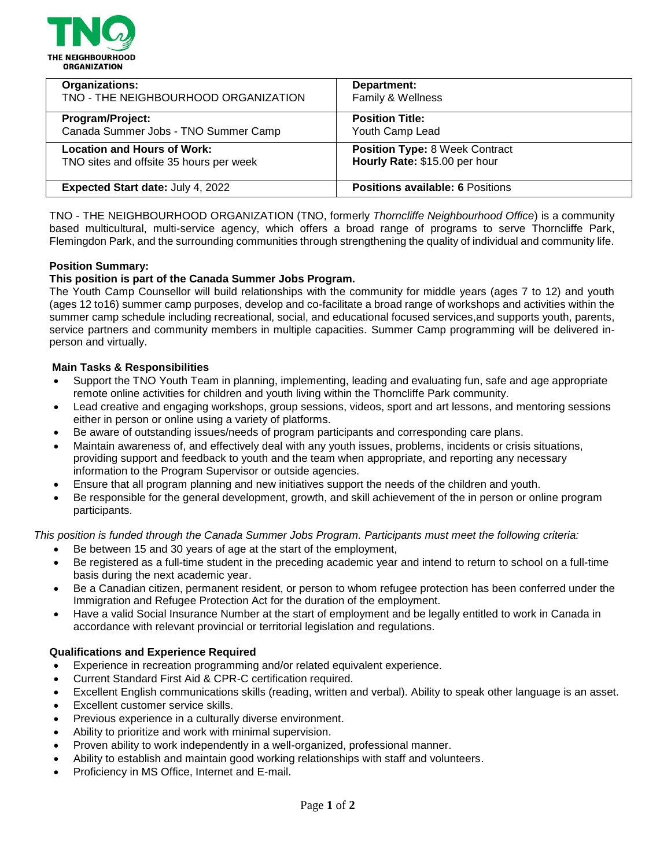

| <b>Organizations:</b>                    | Department:                             |
|------------------------------------------|-----------------------------------------|
| TNO - THE NEIGHBOURHOOD ORGANIZATION     | Family & Wellness                       |
| Program/Project:                         | <b>Position Title:</b>                  |
| Canada Summer Jobs - TNO Summer Camp     | Youth Camp Lead                         |
| <b>Location and Hours of Work:</b>       | <b>Position Type: 8 Week Contract</b>   |
| TNO sites and offsite 35 hours per week  | Hourly Rate: \$15.00 per hour           |
| <b>Expected Start date: July 4, 2022</b> | <b>Positions available: 6 Positions</b> |

TNO - THE NEIGHBOURHOOD ORGANIZATION (TNO, formerly *Thorncliffe Neighbourhood Office*) is a community based multicultural, multi-service agency, which offers a broad range of programs to serve Thorncliffe Park, Flemingdon Park, and the surrounding communities through strengthening the quality of individual and community life.

### **Position Summary:**

## **This position is part of the Canada Summer Jobs Program.**

The Youth Camp Counsellor will build relationships with the community for middle years (ages 7 to 12) and youth (ages 12 to16) summer camp purposes, develop and co-facilitate a broad range of workshops and activities within the summer camp schedule including recreational, social, and educational focused services,and supports youth, parents, service partners and community members in multiple capacities. Summer Camp programming will be delivered inperson and virtually.

### **Main Tasks & Responsibilities**

- Support the TNO Youth Team in planning, implementing, leading and evaluating fun, safe and age appropriate remote online activities for children and youth living within the Thorncliffe Park community.
- Lead creative and engaging workshops, group sessions, videos, sport and art lessons, and mentoring sessions either in person or online using a variety of platforms.
- Be aware of outstanding issues/needs of program participants and corresponding care plans.
- Maintain awareness of, and effectively deal with any youth issues, problems, incidents or crisis situations, providing support and feedback to youth and the team when appropriate, and reporting any necessary information to the Program Supervisor or outside agencies.
- Ensure that all program planning and new initiatives support the needs of the children and youth.
- Be responsible for the general development, growth, and skill achievement of the in person or online program participants.

*This position is funded through the Canada Summer Jobs Program. Participants must meet the following criteria:*

- Be between 15 and 30 years of age at the start of the employment,
- Be registered as a full-time student in the preceding academic year and intend to return to school on a full-time basis during the next academic year.
- Be a Canadian citizen, permanent resident, or person to whom refugee protection has been conferred under the Immigration and Refugee Protection Act for the duration of the employment.
- Have a valid Social Insurance Number at the start of employment and be legally entitled to work in Canada in accordance with relevant provincial or territorial legislation and regulations.

#### **Qualifications and Experience Required**

- Experience in recreation programming and/or related equivalent experience.
- Current Standard First Aid & CPR-C certification required.
- Excellent English communications skills (reading, written and verbal). Ability to speak other language is an asset.
- Excellent customer service skills.
- Previous experience in a culturally diverse environment.
- Ability to prioritize and work with minimal supervision.
- Proven ability to work independently in a well-organized, professional manner.
- Ability to establish and maintain good working relationships with staff and volunteers.
- Proficiency in MS Office, Internet and E-mail.